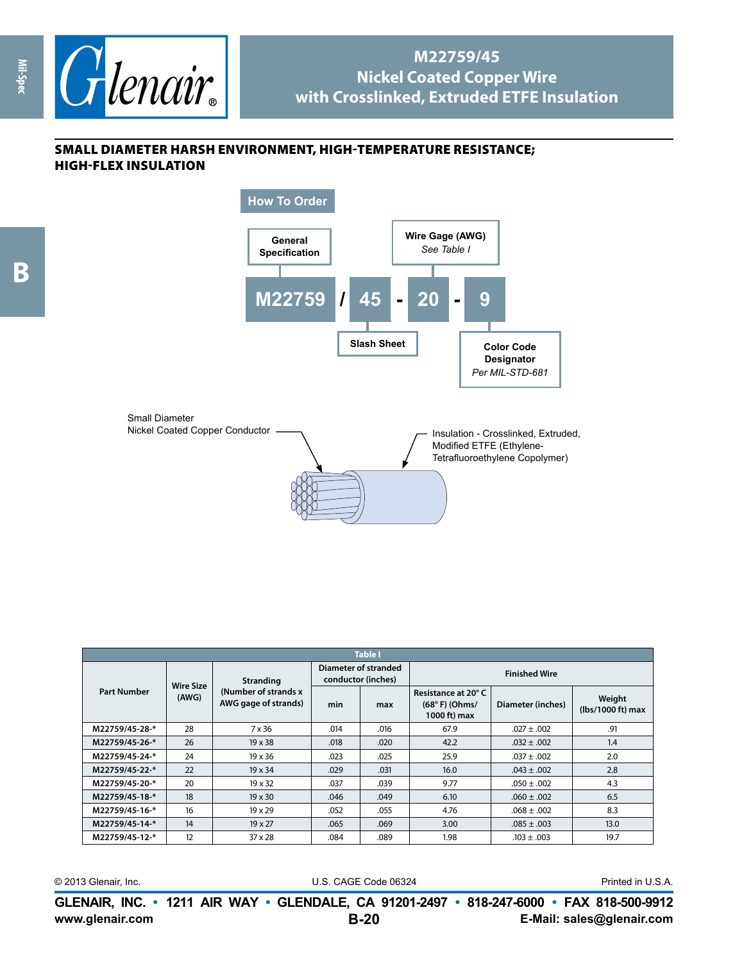

## **M22759/45 Nickel Coated Copper Wire with Crosslinked, Extruded ETFE Insulation**

## small diameter harsh environment, high-temperature resistance; high-flex insulation

**Mil-Spec**



| <b>Table I</b>     |                           |                                                                   |                                            |      |                                                        |                   |                             |  |
|--------------------|---------------------------|-------------------------------------------------------------------|--------------------------------------------|------|--------------------------------------------------------|-------------------|-----------------------------|--|
| <b>Part Number</b> | <b>Wire Size</b><br>(AWG) | <b>Stranding</b><br>(Number of strands x)<br>AWG gage of strands) | Diameter of stranded<br>conductor (inches) |      | <b>Finished Wire</b>                                   |                   |                             |  |
|                    |                           |                                                                   | min                                        | max  | Resistance at 20°C<br>$(68° F)$ (Ohms/<br>1000 ft) max | Diameter (inches) | Weight<br>(lbs/1000 ft) max |  |
| M22759/45-28-*     | 28                        | 7 x 36                                                            | .014                                       | .016 | 67.9                                                   | $.027 \pm .002$   | .91                         |  |
| M22759/45-26-*     | 26                        | $19 \times 38$                                                    | .018                                       | .020 | 42.2                                                   | $.032 \pm .002$   | 1.4                         |  |
| M22759/45-24-*     | 24                        | $19 \times 36$                                                    | .023                                       | .025 | 25.9                                                   | $.037 \pm .002$   | 2.0                         |  |
| M22759/45-22-*     | 22                        | $19 \times 34$                                                    | .029                                       | .031 | 16.0                                                   | $.043 \pm .002$   | 2.8                         |  |
| M22759/45-20-*     | 20                        | $19 \times 32$                                                    | .037                                       | .039 | 9.77                                                   | $.050 \pm .002$   | 4.3                         |  |
| M22759/45-18-*     | 18                        | $19 \times 30$                                                    | .046                                       | .049 | 6.10                                                   | $.060 \pm .002$   | 6.5                         |  |
| M22759/45-16-*     | 16                        | $19 \times 29$                                                    | .052                                       | .055 | 4.76                                                   | $.068 \pm .002$   | 8.3                         |  |
| M22759/45-14-*     | 14                        | 19 x 27                                                           | .065                                       | .069 | 3.00                                                   | $.085 \pm .003$   | 13.0                        |  |
| M22759/45-12-*     | 12                        | $37 \times 28$                                                    | .084                                       | .089 | 1.98                                                   | $.103 \pm .003$   | 19.7                        |  |

© 2013 Glenair, Inc. U.S. CAGE Code 06324 Printed in U.S.A.

**www.glenair.com E-Mail: sales@glenair.com GLENAIR, INC. • 1211 AIR WAY • GLENDALE, CA 91201-2497 • 818-247-6000 • FAX 818-500-9912 B-20**